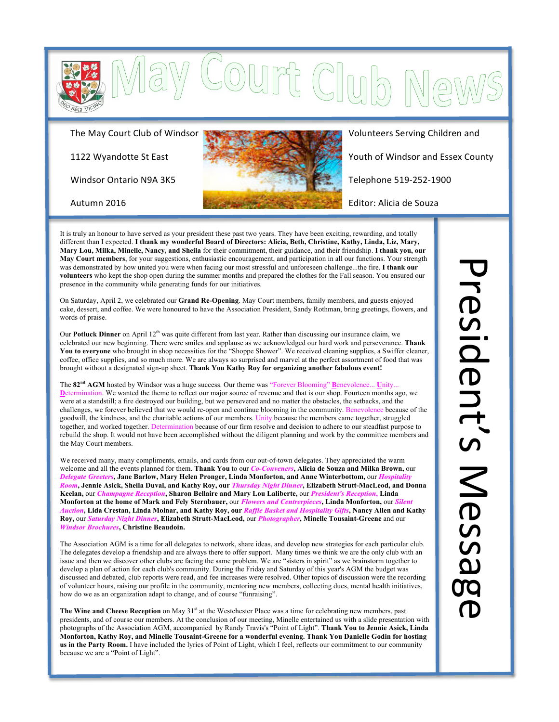

The May Court Club of Windsor

1122 Wyandotte St East

Windsor Ontario N9A 3K5



Soum Clu

Volunteers Serving Children and

Youth of Windsor and Essex County

Telephone 519-252-1900

Editor: Alicia de Souza

Autumn\$2016

It is truly an honour to have served as your president these past two years. They have been exciting, rewarding, and totally different than I expected. **I thank my wonderful Board of Directors: Alicia, Beth, Christine, Kathy, Linda, Liz, Mary, Mary Lou, Milka, Minelle, Nancy, and Sheila** for their commitment, their guidance, and their friendship. **I thank you, our May Court members**, for your suggestions, enthusiastic encouragement, and participation in all our functions. Your strength was demonstrated by how united you were when facing our most stressful and unforeseen challenge...the fire. **I thank our volunteers** who kept the shop open during the summer months and prepared the clothes for the Fall season. You ensured our presence in the community while generating funds for our initiatives.

On Saturday, April 2, we celebrated our **Grand Re-Opening**. May Court members, family members, and guests enjoyed cake, dessert, and coffee. We were honoured to have the Association President, Sandy Rothman, bring greetings, flowers, and words of praise.

Our **Potluck Dinner** on April 12<sup>th</sup> was quite different from last year. Rather than discussing our insurance claim, we celebrated our new beginning. There were smiles and applause as we acknowledged our hard work and perseverance. **Thank You to everyone** who brought in shop necessities for the "Shoppe Shower". We received cleaning supplies, a Swiffer cleaner, coffee, office supplies, and so much more. We are always so surprised and marvel at the perfect assortment of food that was brought without a designated sign-up sheet. **Thank You Kathy Roy for organizing another fabulous event!**

The **82nd AGM** hosted by Windsor was a huge success. Our theme was "Forever Blooming" **B**enevolence... **U**nity... **D**etermination. We wanted the theme to reflect our major source of revenue and that is our shop. Fourteen months ago, we were at a standstill; a fire destroyed our building, but we persevered and no matter the obstacles, the setbacks, and the challenges, we forever believed that we would re-open and continue blooming in the community. Benevolence because of the goodwill, the kindness, and the charitable actions of our members. Unity because the members came together, struggled together, and worked together. Determination because of our firm resolve and decision to adhere to our steadfast purpose to rebuild the shop. It would not have been accomplished without the diligent planning and work by the committee members and the May Court members.

We received many, many compliments, emails, and cards from our out-of-town delegates. They appreciated the warm welcome and all the events planned for them. **Thank You** to our *Co-Conveners***, Alicia de Souza and Milka Brown,** our *Delegate Greeters***, Jane Barlow, Mary Helen Pronger, Linda Monforton, and Anne Winterbottom,** our *Hospitality Room***, Jennie Asick, Sheila Duval, and Kathy Roy, our** *Thursday Night Dinner***, Elizabeth Strutt-MacLeod, and Donna Keelan,** our *Champagne Reception***, Sharon Bellaire and Mary Lou Laliberte,** our *President's Reception***, Linda Monforton at the home of Mark and Fely Sternbauer,** our *Flowers and Centrerpieces***, Linda Monforton,** our *Silent Auction***, Lida Crestan, Linda Molnar, and Kathy Roy, our** *Raffle Basket and Hospitality Gifts***, Nancy Allen and Kathy Roy,** our *Saturday Night Dinner***, Elizabeth Strutt-MacLeod,** our *Photographer***, Minelle Tousaint-Greene** and our *Windsor Brochures***, Christine Beaudoin.**

The Association AGM is a time for all delegates to network, share ideas, and develop new strategies for each particular club. The delegates develop a friendship and are always there to offer support. Many times we think we are the only club with an issue and then we discover other clubs are facing the same problem. We are "sisters in spirit" as we brainstorm together to develop a plan of action for each club's community. During the Friday and Saturday of this year's AGM the budget was discussed and debated, club reports were read, and fee increases were resolved. Other topics of discussion were the recording of volunteer hours, raising our profile in the community, mentoring new members, collecting dues, mental health initiatives, how do we as an organization adapt to change, and of course "funraising".

The Wine and Cheese Reception on May 31<sup>st</sup> at the Westchester Place was a time for celebrating new members, past presidents, and of course our members. At the conclusion of our meeting, Minelle entertained us with a slide presentation with photographs of the Association AGM, accompanied by Randy Travis's "Point of Light". **Thank You to Jennie Asick, Linda Monforton, Kathy Roy, and Minelle Tousaint-Greene for a wonderful evening. Thank You Danielle Godin for hosting us in the Party Room.** I have included the lyrics of Point of Light, which I feel, reflects our commitment to our community because we are a "Point of Light".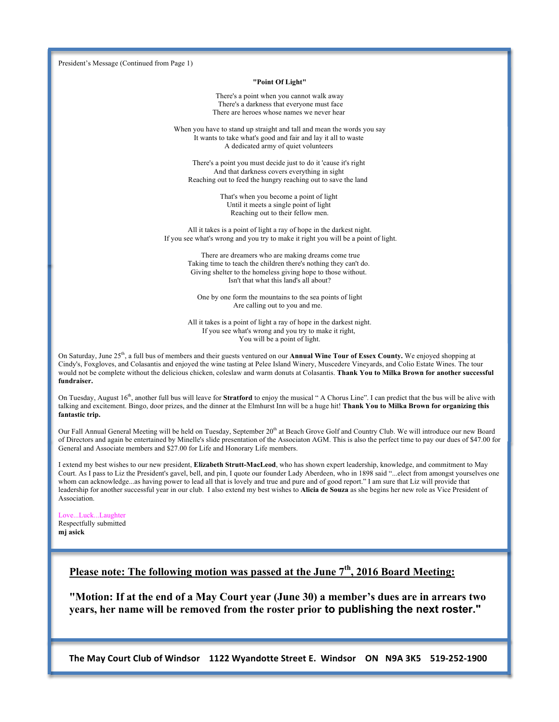President's Message (Continued from Page 1)

#### **"Point Of Light"**

There's a point when you cannot walk away There's a darkness that everyone must face There are heroes whose names we never hear

When you have to stand up straight and tall and mean the words you say It wants to take what's good and fair and lay it all to waste A dedicated army of quiet volunteers

There's a point you must decide just to do it 'cause it's right And that darkness covers everything in sight Reaching out to feed the hungry reaching out to save the land

> That's when you become a point of light Until it meets a single point of light Reaching out to their fellow men.

All it takes is a point of light a ray of hope in the darkest night. If you see what's wrong and you try to make it right you will be a point of light.

> There are dreamers who are making dreams come true Taking time to teach the children there's nothing they can't do. Giving shelter to the homeless giving hope to those without. Isn't that what this land's all about?

One by one form the mountains to the sea points of light Are calling out to you and me.

All it takes is a point of light a ray of hope in the darkest night. If you see what's wrong and you try to make it right, You will be a point of light.

On Saturday, June 25<sup>th</sup>, a full bus of members and their guests ventured on our **Annual Wine Tour of Essex County.** We enjoyed shopping at Cindy's, Foxgloves, and Colasantis and enjoyed the wine tasting at Pelee Island Winery, Muscedere Vineyards, and Colio Estate Wines. The tour would not be complete without the delicious chicken, coleslaw and warm donuts at Colasantis. **Thank You to Milka Brown for another successful fundraiser.**

On Tuesday, August 16th, another full bus will leave for **Stratford** to enjoy the musical " A Chorus Line". I can predict that the bus will be alive with talking and excitement. Bingo, door prizes, and the dinner at the Elmhurst Inn will be a huge hit! **Thank You to Milka Brown for organizing this fantastic trip.**

Our Fall Annual General Meeting will be held on Tuesday, September 20<sup>th</sup> at Beach Grove Golf and Country Club. We will introduce our new Board of Directors and again be entertained by Minelle's slide presentation of the Associaton AGM. This is also the perfect time to pay our dues of \$47.00 for General and Associate members and \$27.00 for Life and Honorary Life members.

I extend my best wishes to our new president, **Elizabeth Strutt-MacLeod**, who has shown expert leadership, knowledge, and commitment to May Court. As I pass to Liz the President's gavel, bell, and pin, I quote our founder Lady Aberdeen, who in 1898 said "...elect from amongst yourselves one whom can acknowledge...as having power to lead all that is lovely and true and pure and of good report." I am sure that Liz will provide that leadership for another successful year in our club. I also extend my best wishes to **Alicia de Souza** as she begins her new role as Vice President of Association.

Love...Luck...Laughter Respectfully submitted **mj asick**

## Please note: The following motion was passed at the June 7<sup>th</sup>, 2016 Board Meeting:

**"Motion: If at the end of a May Court year (June 30) a member's dues are in arrears two years, her name will be removed from the roster prior to publishing the next roster."**

The May Court Club of Windsor 1122 Wyandotte Street E. Windsor ON N9A 3K5 519-252-1900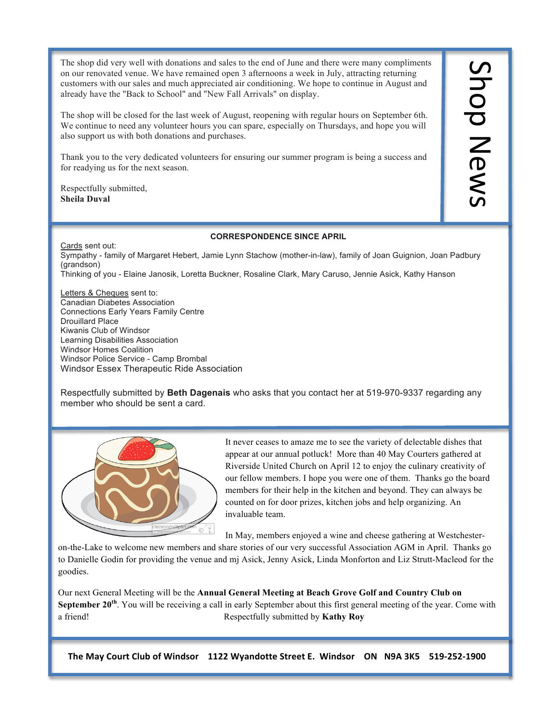The shop did very well with donations and sales to the end of June and there were many compliments on our renovated venue. We have remained open 3 afternoons a week in July, attracting returning customers with our sales and much appreciated air conditioning. We hope to continue in August and already have the "Back to School" and "New Fall Arrivals" on display.

The shop will be closed for the last week of August, reopening with regular hours on September 6th. We continue to need any volunteer hours you can spare, especially on Thursdays, and hope you will also support us with both donations and purchases.

Thank you to the very dedicated volunteers for ensuring our summer program is being a success and for readying us for the next season.

Respectfully submitted, **Sheila Duval**

#### **CORRESPONDENCE SINCE APRIL**

Cards sent out: Sympathy - family of Margaret Hebert, Jamie Lynn Stachow (mother-in-law), family of Joan Guignion, Joan Padbury (grandson) Thinking of you - Elaine Janosik, Loretta Buckner, Rosaline Clark, Mary Caruso, Jennie Asick, Kathy Hanson

Letters & Cheques sent to: Canadian Diabetes Association Connections Early Years Family Centre Drouillard Place Kiwanis Club of Windsor Learning Disabilities Association Windsor Homes Coalition Windsor Police Service - Camp Brombal Windsor Essex Therapeutic Ride Association

Respectfully submitted by **Beth Dagenais** who asks that you contact her at 519-970-9337 regarding any member who should be sent a card.



It never ceases to amaze me to see the variety of delectable dishes that appear at our annual potluck! More than 40 May Courters gathered at Riverside United Church on April 12 to enjoy the culinary creativity of our fellow members. I hope you were one of them. Thanks go the board members for their help in the kitchen and beyond. They can always be counted on for door prizes, kitchen jobs and help organizing. An invaluable team.

In May, members enjoyed a wine and cheese gathering at Westchester-

on-the-Lake to welcome new members and share stories of our very successful Association AGM in April. Thanks go to Danielle Godin for providing the venue and mj Asick, Jenny Asick, Linda Monforton and Liz Strutt-Macleod for the goodies.

Our next General Meeting will be the **Annual General Meeting at Beach Grove Golf and Country Club on September 20<sup>th</sup>**. You will be receiving a call in early September about this first general meeting of the year. Come with a friend! Respectfully submitted by **Kathy Roy**

The May Court Club of Windsor 1122 Wyandotte Street E. Windsor ON N9A 3K5 519-252-1900